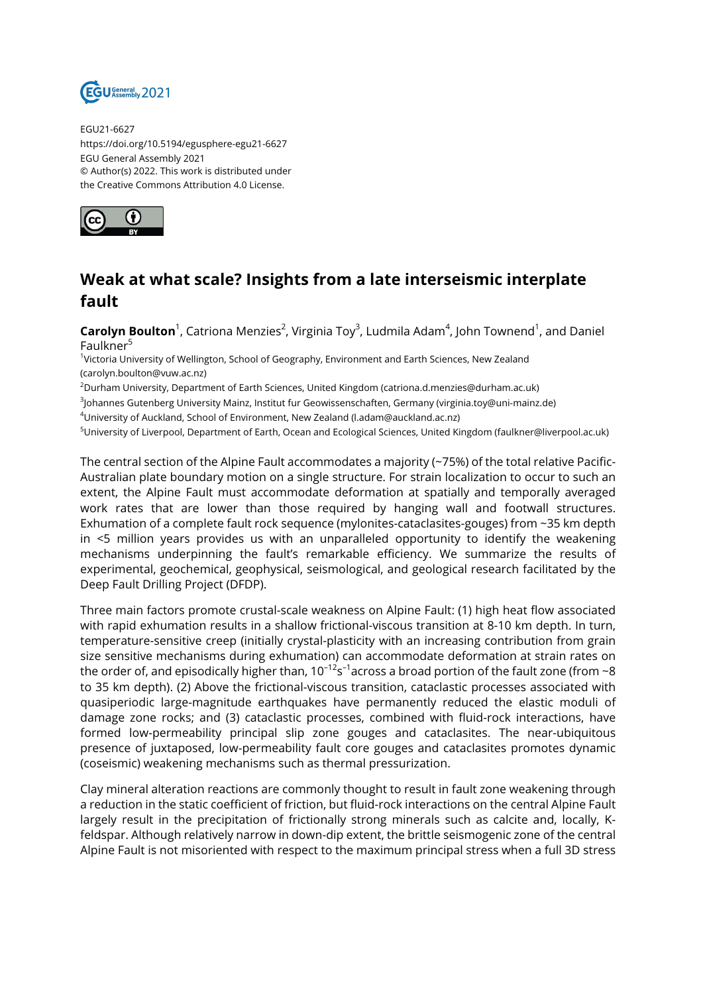

EGU21-6627 https://doi.org/10.5194/egusphere-egu21-6627 EGU General Assembly 2021 © Author(s) 2022. This work is distributed under the Creative Commons Attribution 4.0 License.



## **Weak at what scale? Insights from a late interseismic interplate fault**

 $\mathsf{Carolyn}\, \mathsf{Boulton}^1$ , Catriona Menzies<sup>2</sup>, Virginia Toy<sup>3</sup>, Ludmila Adam<sup>4</sup>, John Townend<sup>1</sup>, and Daniel Faulkner<sup>5</sup>

1 Victoria University of Wellington, School of Geography, Environment and Earth Sciences, New Zealand (carolyn.boulton@vuw.ac.nz)

 $2$ Durham University, Department of Earth Sciences, United Kingdom (catriona.d.menzies@durham.ac.uk)

3 Johannes Gutenberg University Mainz, Institut fur Geowissenschaften, Germany (virginia.toy@uni-mainz.de)

<sup>4</sup>University of Auckland, School of Environment, New Zealand (l.adam@auckland.ac.nz)

<sup>5</sup>University of Liverpool, Department of Earth, Ocean and Ecological Sciences, United Kingdom (faulkner@liverpool.ac.uk)

The central section of the Alpine Fault accommodates a majority (~75%) of the total relative Pacific-Australian plate boundary motion on a single structure. For strain localization to occur to such an extent, the Alpine Fault must accommodate deformation at spatially and temporally averaged work rates that are lower than those required by hanging wall and footwall structures. Exhumation of a complete fault rock sequence (mylonites-cataclasites-gouges) from ~35 km depth in <5 million years provides us with an unparalleled opportunity to identify the weakening mechanisms underpinning the fault's remarkable efficiency. We summarize the results of experimental, geochemical, geophysical, seismological, and geological research facilitated by the Deep Fault Drilling Project (DFDP).

Three main factors promote crustal-scale weakness on Alpine Fault: (1) high heat flow associated with rapid exhumation results in a shallow frictional-viscous transition at 8-10 km depth. In turn, temperature-sensitive creep (initially crystal-plasticity with an increasing contribution from grain size sensitive mechanisms during exhumation) can accommodate deformation at strain rates on the order of, and episodically higher than, 10<sup>–12</sup>s<sup>–1</sup>across a broad portion of the fault zone (from ~8 to 35 km depth). (2) Above the frictional-viscous transition, cataclastic processes associated with quasiperiodic large-magnitude earthquakes have permanently reduced the elastic moduli of damage zone rocks; and (3) cataclastic processes, combined with fluid-rock interactions, have formed low-permeability principal slip zone gouges and cataclasites. The near-ubiquitous presence of juxtaposed, low-permeability fault core gouges and cataclasites promotes dynamic (coseismic) weakening mechanisms such as thermal pressurization.

Clay mineral alteration reactions are commonly thought to result in fault zone weakening through a reduction in the static coefficient of friction, but fluid-rock interactions on the central Alpine Fault largely result in the precipitation of frictionally strong minerals such as calcite and, locally, Kfeldspar. Although relatively narrow in down-dip extent, the brittle seismogenic zone of the central Alpine Fault is not misoriented with respect to the maximum principal stress when a full 3D stress